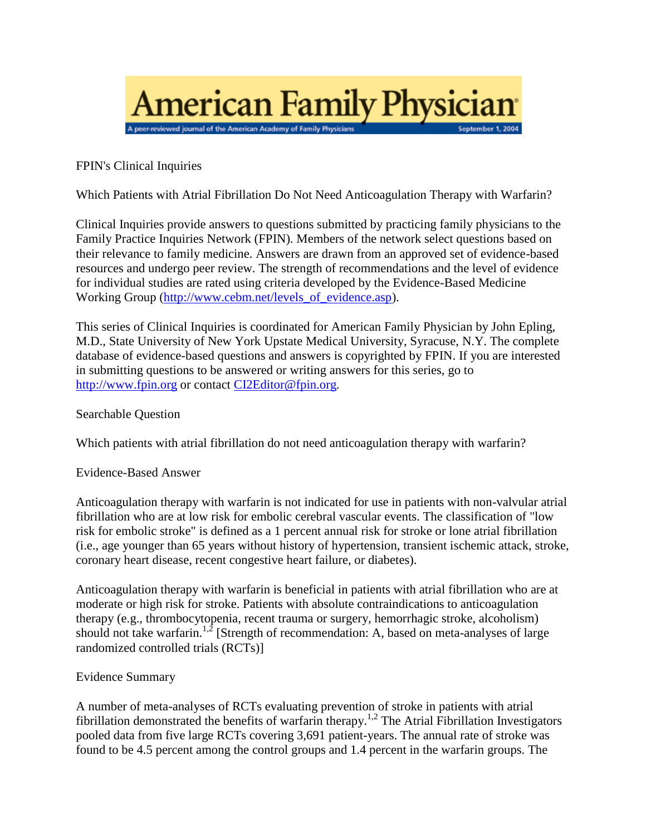

FPIN's Clinical Inquiries

Which Patients with Atrial Fibrillation Do Not Need Anticoagulation Therapy with Warfarin?

Clinical Inquiries provide answers to questions submitted by practicing family physicians to the Family Practice Inquiries Network (FPIN). Members of the network select questions based on their relevance to family medicine. Answers are drawn from an approved set of evidence-based resources and undergo peer review. The strength of recommendations and the level of evidence for individual studies are rated using criteria developed by the Evidence-Based Medicine Working Group [\(http://www.cebm.net/levels\\_of\\_evidence.asp\)](http://www.cebm.net/levels_of_evidence.asp).

This series of Clinical Inquiries is coordinated for American Family Physician by John Epling, M.D., State University of New York Upstate Medical University, Syracuse, N.Y. The complete database of evidence-based questions and answers is copyrighted by FPIN. If you are interested in submitting questions to be answered or writing answers for this series, go to [http://www.fpin.org](http://www.fpin.org/) or contact [CI2Editor@fpin.org.](mailto:CI2Editor@fpin.org)

Searchable Question

Which patients with atrial fibrillation do not need anticoagulation therapy with warfarin?

Evidence-Based Answer

Anticoagulation therapy with warfarin is not indicated for use in patients with non-valvular atrial fibrillation who are at low risk for embolic cerebral vascular events. The classification of "low risk for embolic stroke" is defined as a 1 percent annual risk for stroke or lone atrial fibrillation (i.e., age younger than 65 years without history of hypertension, transient ischemic attack, stroke, coronary heart disease, recent congestive heart failure, or diabetes).

Anticoagulation therapy with warfarin is beneficial in patients with atrial fibrillation who are at moderate or high risk for stroke. Patients with absolute contraindications to anticoagulation therapy (e.g., thrombocytopenia, recent trauma or surgery, hemorrhagic stroke, alcoholism) should not take warfarin.<sup>1,2</sup> [Strength of recommendation: A, based on meta-analyses of large randomized controlled trials (RCTs)]

## Evidence Summary

A number of meta-analyses of RCTs evaluating prevention of stroke in patients with atrial fibrillation demonstrated the benefits of warfarin therapy.<sup>1,2</sup> The Atrial Fibrillation Investigators pooled data from five large RCTs covering 3,691 patient-years. The annual rate of stroke was found to be 4.5 percent among the control groups and 1.4 percent in the warfarin groups. The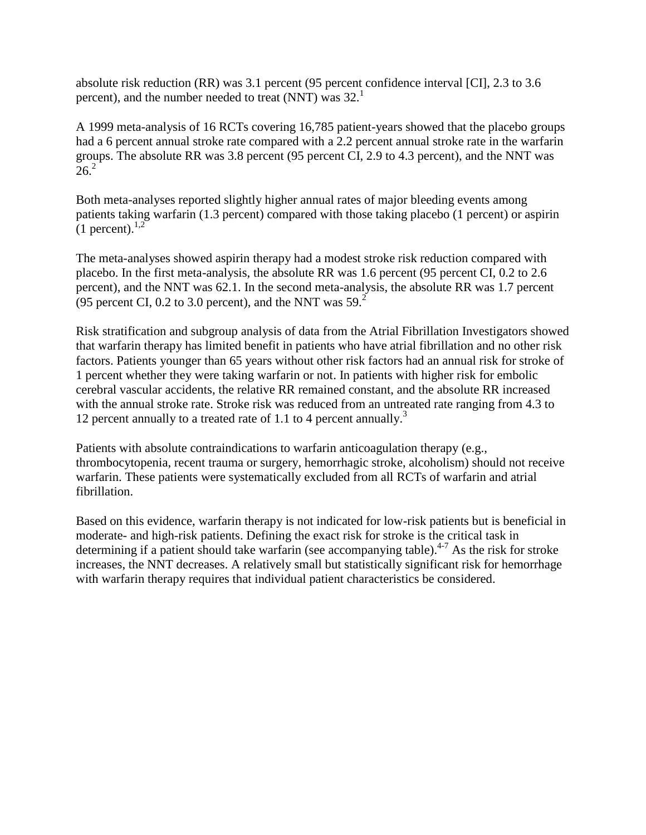absolute risk reduction (RR) was 3.1 percent (95 percent confidence interval [CI], 2.3 to 3.6 percent), and the number needed to treat (NNT) was  $32<sup>1</sup>$ 

A 1999 meta-analysis of 16 RCTs covering 16,785 patient-years showed that the placebo groups had a 6 percent annual stroke rate compared with a 2.2 percent annual stroke rate in the warfarin groups. The absolute RR was 3.8 percent (95 percent CI, 2.9 to 4.3 percent), and the NNT was  $26.2$ 

Both meta-analyses reported slightly higher annual rates of major bleeding events among patients taking warfarin (1.3 percent) compared with those taking placebo (1 percent) or aspirin  $(1$  percent).<sup>1,2</sup>

The meta-analyses showed aspirin therapy had a modest stroke risk reduction compared with placebo. In the first meta-analysis, the absolute RR was 1.6 percent (95 percent CI, 0.2 to 2.6 percent), and the NNT was 62.1. In the second meta-analysis, the absolute RR was 1.7 percent (95 percent CI, 0.2 to 3.0 percent), and the NNT was  $59<sup>2</sup>$ 

Risk stratification and subgroup analysis of data from the Atrial Fibrillation Investigators showed that warfarin therapy has limited benefit in patients who have atrial fibrillation and no other risk factors. Patients younger than 65 years without other risk factors had an annual risk for stroke of 1 percent whether they were taking warfarin or not. In patients with higher risk for embolic cerebral vascular accidents, the relative RR remained constant, and the absolute RR increased with the annual stroke rate. Stroke risk was reduced from an untreated rate ranging from 4.3 to 12 percent annually to a treated rate of 1.1 to 4 percent annually.<sup>3</sup>

Patients with absolute contraindications to warfarin anticoagulation therapy (e.g., thrombocytopenia, recent trauma or surgery, hemorrhagic stroke, alcoholism) should not receive warfarin. These patients were systematically excluded from all RCTs of warfarin and atrial fibrillation.

Based on this evidence, warfarin therapy is not indicated for low-risk patients but is beneficial in moderate- and high-risk patients. Defining the exact risk for stroke is the critical task in determining if a patient should take warfarin (see accompanying table).<sup>4-7</sup> As the risk for stroke increases, the NNT decreases. A relatively small but statistically significant risk for hemorrhage with warfarin therapy requires that individual patient characteristics be considered.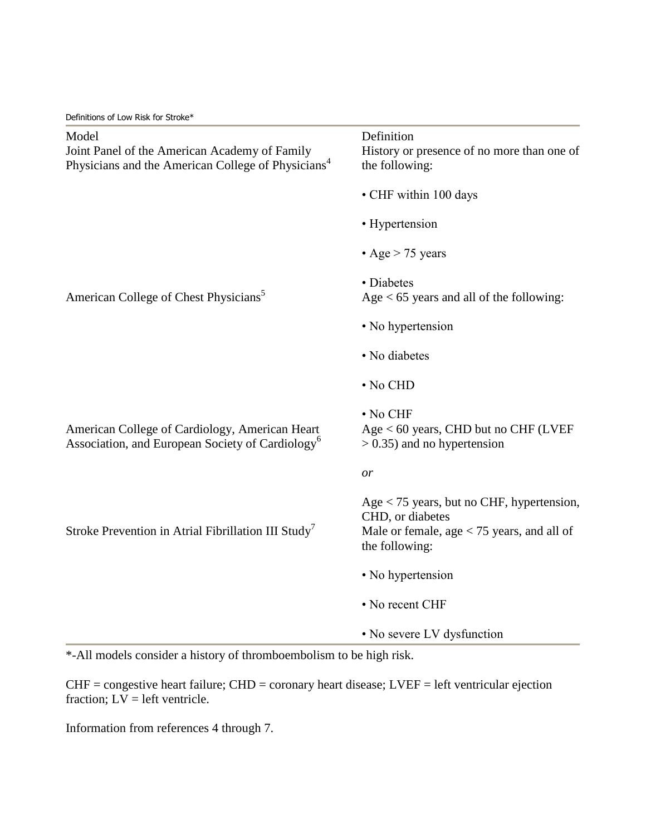Definitions of Low Risk for Stroke\*

| Model<br>Joint Panel of the American Academy of Family<br>Physicians and the American College of Physicians <sup>4</sup> | Definition<br>History or presence of no more than one of<br>the following:                                                        |
|--------------------------------------------------------------------------------------------------------------------------|-----------------------------------------------------------------------------------------------------------------------------------|
|                                                                                                                          | • CHF within 100 days                                                                                                             |
|                                                                                                                          | • Hypertension                                                                                                                    |
|                                                                                                                          | • Age $> 75$ years                                                                                                                |
| American College of Chest Physicians <sup>5</sup>                                                                        | • Diabetes<br>Age $<$ 65 years and all of the following:                                                                          |
|                                                                                                                          | • No hypertension                                                                                                                 |
|                                                                                                                          | • No diabetes                                                                                                                     |
|                                                                                                                          | $\cdot$ No CHD                                                                                                                    |
| American College of Cardiology, American Heart<br>Association, and European Society of Cardiology <sup>6</sup>           | • No CHF<br>$Age < 60$ years, CHD but no CHF (LVEF<br>$> 0.35$ ) and no hypertension                                              |
|                                                                                                                          | or                                                                                                                                |
| Stroke Prevention in Atrial Fibrillation III Study <sup>7</sup>                                                          | Age $<$ 75 years, but no CHF, hypertension,<br>CHD, or diabetes<br>Male or female, $age < 75$ years, and all of<br>the following: |
|                                                                                                                          | • No hypertension                                                                                                                 |
|                                                                                                                          | • No recent CHF                                                                                                                   |
|                                                                                                                          | • No severe LV dysfunction                                                                                                        |

\*-All models consider a history of thromboembolism to be high risk.

CHF = congestive heart failure; CHD = coronary heart disease; LVEF = left ventricular ejection fraction;  $LV = left$  ventricle.

Information from references 4 through 7.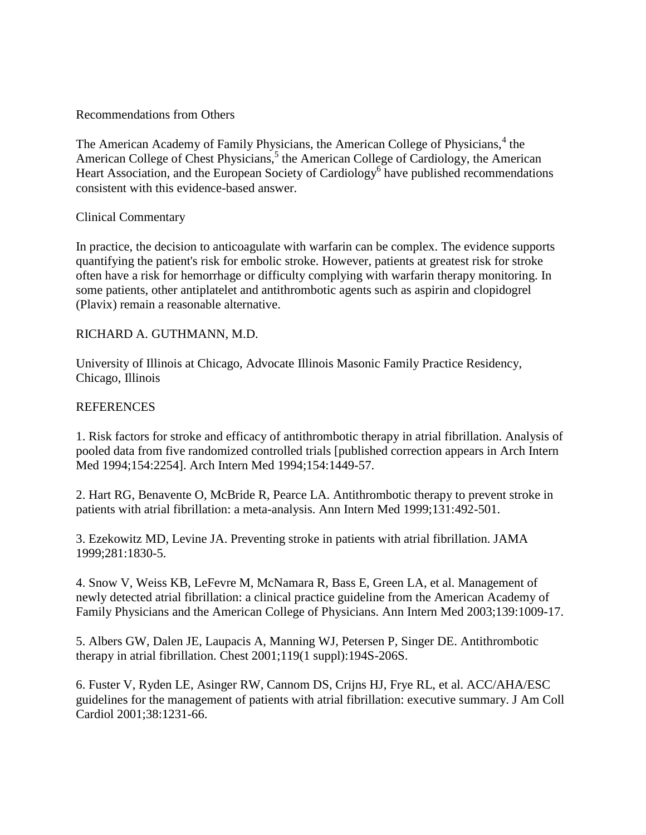## Recommendations from Others

The American Academy of Family Physicians, the American College of Physicians,<sup>4</sup> the American College of Chest Physicians,<sup>5</sup> the American College of Cardiology, the American Heart Association, and the European Society of Cardiology<sup>6</sup> have published recommendations consistent with this evidence-based answer.

## Clinical Commentary

In practice, the decision to anticoagulate with warfarin can be complex. The evidence supports quantifying the patient's risk for embolic stroke. However, patients at greatest risk for stroke often have a risk for hemorrhage or difficulty complying with warfarin therapy monitoring. In some patients, other antiplatelet and antithrombotic agents such as aspirin and clopidogrel (Plavix) remain a reasonable alternative.

# RICHARD A. GUTHMANN, M.D.

University of Illinois at Chicago, Advocate Illinois Masonic Family Practice Residency, Chicago, Illinois

# **REFERENCES**

1. Risk factors for stroke and efficacy of antithrombotic therapy in atrial fibrillation. Analysis of pooled data from five randomized controlled trials [published correction appears in Arch Intern Med 1994;154:2254]. Arch Intern Med 1994;154:1449-57.

2. Hart RG, Benavente O, McBride R, Pearce LA. Antithrombotic therapy to prevent stroke in patients with atrial fibrillation: a meta-analysis. Ann Intern Med 1999;131:492-501.

3. Ezekowitz MD, Levine JA. Preventing stroke in patients with atrial fibrillation. JAMA 1999;281:1830-5.

4. Snow V, Weiss KB, LeFevre M, McNamara R, Bass E, Green LA, et al. Management of newly detected atrial fibrillation: a clinical practice guideline from the American Academy of Family Physicians and the American College of Physicians. Ann Intern Med 2003;139:1009-17.

5. Albers GW, Dalen JE, Laupacis A, Manning WJ, Petersen P, Singer DE. Antithrombotic therapy in atrial fibrillation. Chest 2001;119(1 suppl):194S-206S.

6. Fuster V, Ryden LE, Asinger RW, Cannom DS, Crijns HJ, Frye RL, et al. ACC/AHA/ESC guidelines for the management of patients with atrial fibrillation: executive summary. J Am Coll Cardiol 2001;38:1231-66.